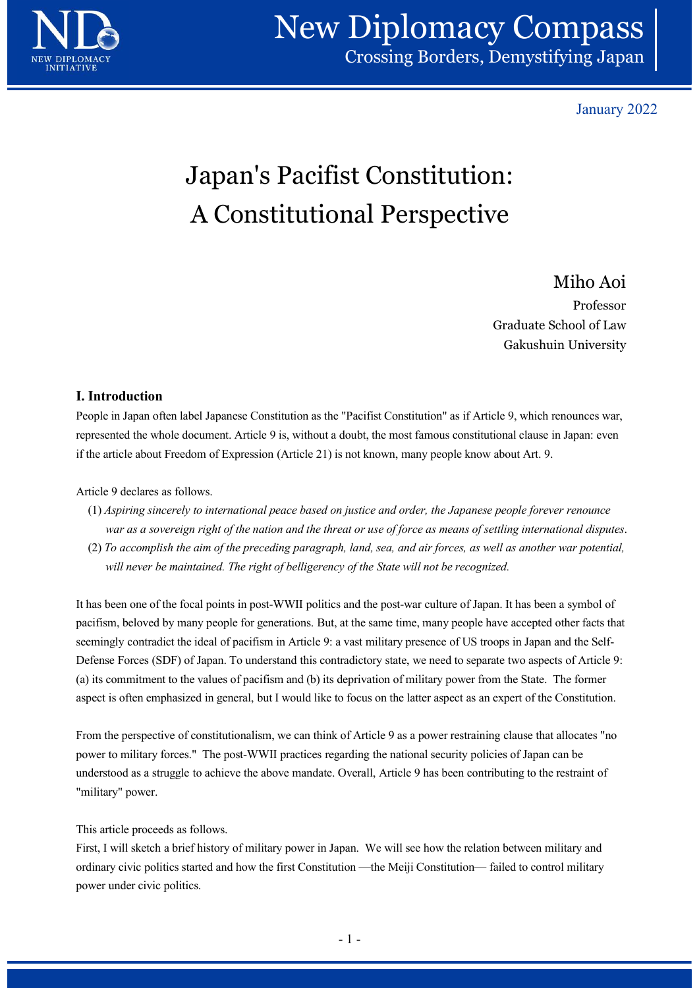

## New Diplomacy Compass Crossing Borders, Demystifying Japan

January 2022

# Japan's Pacifist Constitution: A Constitutional Perspective

## Miho Aoi

Professor Graduate School of Law Examples 18 January 2022<br>
January 2022<br>
Sanuary 2022<br>
Control Professor<br>
Frofessor<br>
Rakushuin University<br>
Gakushuin University<br>
Sanuary 2022<br>
Professor<br>
Gakushuin University<br>
Professor<br>
Professor<br>
Professor<br>
Professor<br>
Pro

### I. Introduction

People in Japan often label Japanese Constitution as the "Pacifist Constitution" as if Article 9, which renounces war, represented the whole document. Article 9 is, without a doubt, the most famous constitutional clause in Japan: even if the article about Freedom of Expression (Article 21) is not known, many people know about Art. 9.

Article 9 declares as follows.

- (1) Aspiring sincerely to international peace based on justice and order, the Japanese people forever renounce war as a sovereign right of the nation and the threat or use of force as means of settling international disputes.
- (2) To accomplish the aim of the preceding paragraph, land, sea, and air forces, as well as another war potential, will never be maintained. The right of belligerency of the State will not be recognized.

It has been one of the focal points in post-WWII politics and the post-war culture of Japan. It has been a symbol of pacifism, beloved by many people for generations. But, at the same time, many people have accepted other facts that seemingly contradict the ideal of pacifism in Article 9: a vast military presence of US troops in Japan and the Self-Defense Forces (SDF) of Japan. To understand this contradictory state, we need to separate two aspects of Article 9: (a) its commitment to the values of pacifism and (b) its deprivation of military power from the State. The former aspect is often emphasized in general, but I would like to focus on the latter aspect as an expert of the Constitution. vall never be maintained. The right of belligerency of the State will not be recognized.<br>
It has been one of the foeal points in post-WWII polities and the post-war culture of Japan. It has been a symbol of<br>
pacifism, belo is vast military presence of US troops in Japan and the Self-<br>tradictory state, we need to separate two aspects of Article 9:<br>deprivation of military power from the State. The former<br>o focus on the latter aspect as an expe

From the perspective of constitutionalism, we can think of Article 9 as a power restraining clause that allocates "no power to military forces." The post-WWII practices regarding the national security policies of Japan can be understood as a struggle to achieve the above mandate. Overall, Article 9 has been contributing to the restraint of "military" power.

This article proceeds as follows.

First, I will sketch a brief history of military power in Japan. We will see how the relation between military and power under civic politics.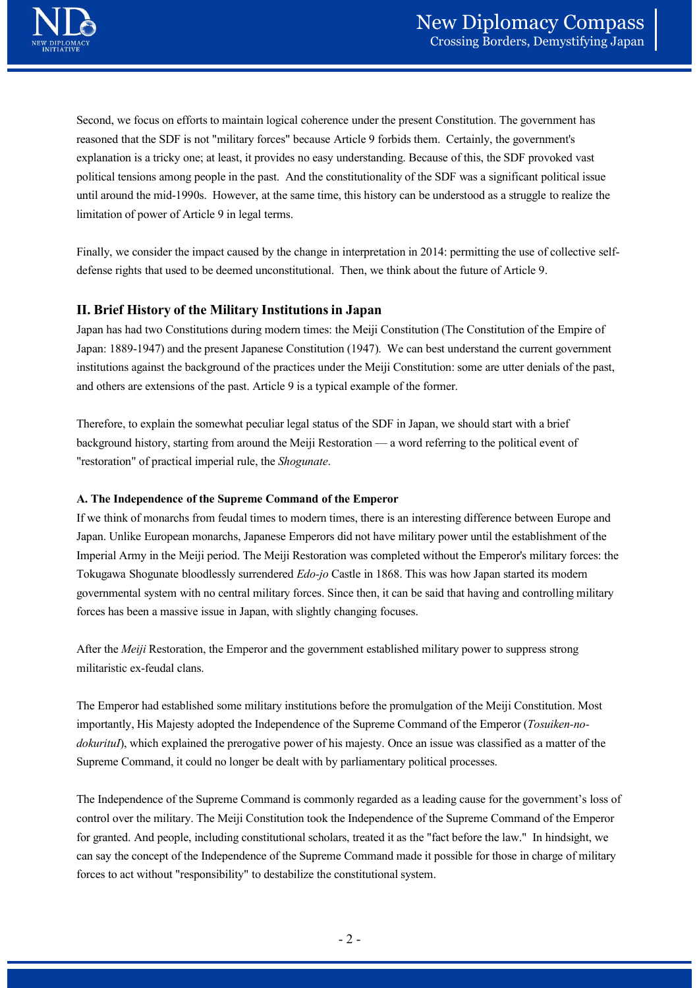

Second, we focus on efforts to maintain logical coherence under the present Constitution. The government has reasoned that the SDF is not "military forces" because Article 9 forbids them. Certainly, the government's explanation is a tricky one; at least, it provides no easy understanding. Because of this, the SDF provoked vast political tensions among people in the past. And the constitutionality of the SDF was a significant political issue until around the mid-1990s. However, at the same time, this history can be understood as a struggle to realize the limitation of power of Article 9 in legal terms. reasoned nat me SDP is not minitary foresci because Artice 9 rotonis men. Ceramity, me governments<br>explanation is a tricky one; at least, it provides no easy understanding. Because of this, the SDF provoked vast<br>political

Finally, we consider the impact caused by the change in interpretation in 2014: permitting the use of collective selfdefense rights that used to be deemed unconstitutional. Then, we think about the future of Article 9.

#### II. Brief History of the Military Institutions in Japan

Japan has had two Constitutions during modern times: the Meiji Constitution (The Constitution of the Empire of Japan: 1889-1947) and the present Japanese Constitution (1947). We can best understand the current government institutions against the background of the practices under the Meiji Constitution: some are utter denials of the past, and others are extensions of the past. Article 9 is a typical example of the former. until around the mual-1990s. However, at the same time, this history can be understood as a struggle to i<br>
limitation of power of Article 9 in legal terms.<br>
Finally, we consider the impact caused by the change in interpret

Therefore, to explain the somewhat peculiar legal status of the SDF in Japan, we should start with a brief

If we think of monarchs from feudal times to modern times, there is an interesting difference between Europe and Japan. Unlike European monarchs, Japanese Emperors did not have military power until the establishment of the Imperial Army in the Meiji period. The Meiji Restoration was completed without the Emperor's military forces: the Tokugawa Shogunate bloodlessly surrendered Edo-jo Castle in 1868. This was how Japan started its modern governmental system with no central military forces. Since then, it can be said that having and controlling military forces has been a massive issue in Japan, with slightly changing focuses.

After the Meiji Restoration, the Emperor and the government established military power to suppress strong militaristic ex-feudal clans.

The Emperor had established some military institutions before the promulgation of the Meiji Constitution. Most importantly, His Majesty adopted the Independence of the Supreme Command of the Emperor (Tosuiken-nodokurituI), which explained the prerogative power of his majesty. Once an issue was classified as a matter of the Supreme Command, it could no longer be dealt with by parliamentary political processes.

The Independence of the Supreme Command is commonly regarded as a leading cause for the government's loss of control over the military. The Meiji Constitution took the Independence of the Supreme Command of the Emperor for granted. And people, including constitutional scholars, treated it as the "fact before the law." In hindsight, we can say the concept of the Independence of the Supreme Command made it possible for those in charge of military forces to act without "responsibility" to destabilize the constitutional system. ment established military power to suppress strong<br>before the promulgation of the Meiji Constitution. Most<br>the Supreme Command of the Emperor (*Tosuiken-no-*<br>smajesty. Once an issue was classified as a matter of the<br>parlia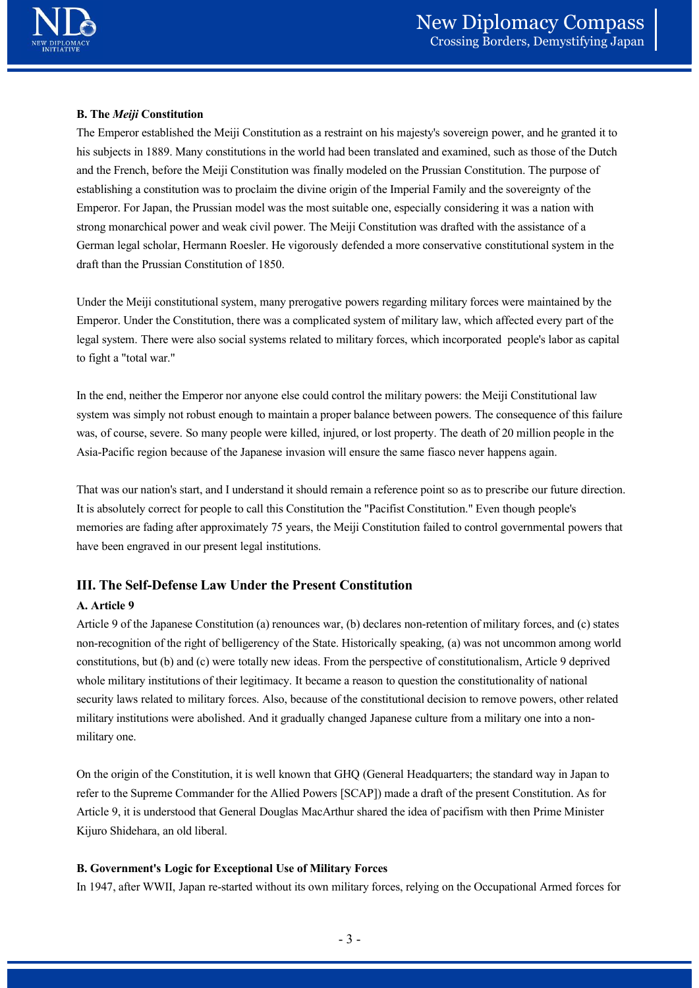

#### B. The Meiji Constitution

The Emperor established the Meiji Constitution as a restraint on his majesty's sovereign power, and he granted it to his subjects in 1889. Many constitutions in the world had been translated and examined, such as those of the Dutch and the French, before the Meiji Constitution was finally modeled on the Prussian Constitution. The purpose of establishing a constitution was to proclaim the divine origin of the Imperial Family and the sovereignty of the Emperor. For Japan, the Prussian model was the most suitable one, especially considering it was a nation with strong monarchical power and weak civil power. The Meiji Constitution was drafted with the assistance of a German legal scholar, Hermann Roesler. He vigorously defended a more conservative constitutional system in the draft than the Prussian Constitution of 1850. establishing a constitution was to proclaim the divine origin of the Imperial Family and the sovereignty of the Emperor. For Iapsa, the Prassian model was the most statiele one, especially considering it was a nation with

Under the Meiji constitutional system, many prerogative powers regarding military forces were maintained by the Emperor. Under the Constitution, there was a complicated system of military law, which affected every part of the legal system. There were also social systems related to military forces, which incorporated people's labor as capital to fight a "total war."

In the end, neither the Emperor nor anyone else could control the military powers: the Meiji Constitutional law system was simply not robust enough to maintain a proper balance between powers. The consequence of this failure was, of course, severe. So many people were killed, injured, or lost property. The death of 20 million people in the Asia-Pacific region because of the Japanese invasion will ensure the same fiasco never happens again.

Emperor. For Japan, the Prussian model was the most suitable one, especially considering it was a nation with strong monarchical power mal weak tivil power. The Meji Constitution was drafted with the assistance of a German memories are fading after approximately 75 years, the Meiji Constitution failed to control governmental powers that have been engraved in our present legal institutions.

#### III. The Self-Defense Law Under the Present Constitution

#### A. Article 9

Article 9 of the Japanese Constitution (a) renounces war, (b) declares non-retention of military forces, and (c) states non-recognition of the right of belligerency of the State. Historically speaking, (a) was not uncommon among world constitutions, but (b) and (c) were totally new ideas. From the perspective of constitutionalism, Article 9 deprived whole military institutions of their legitimacy. It became a reason to question the constitutionality of national security laws related to military forces. Also, because of the constitutional decision to remove powers, other related military institutions were abolished. And it gradually changed Japanese culture from a military one into a nonmilitary one. memories are tading after approximately /5 years, the Meiji Constitution failed to contro<br>have been engraved in our present legal institutions.<br>
III. The Self-Defense Law Under the Present Constitution<br>
A. Article 9<br>
Artic Historically speaking, (a) was not uncommon among world<br>m the perspective of constitutionalism, Article 9 deprived<br>a reason to question the constitutionality of national<br>f the constitutional decision to remove powers, othe

On the origin of the Constitution, it is well known that GHQ (General Headquarters; the standard way in Japan to refer to the Supreme Commander for the Allied Powers [SCAP]) made a draft of the present Constitution. As for Article 9, it is understood that General Douglas MacArthur shared the idea of pacifism with then Prime Minister

#### B. Government's Logic for Exceptional Use of Military Forces

In 1947, after WWII, Japan re-started without its own military forces, relying on the Occupational Armed forces for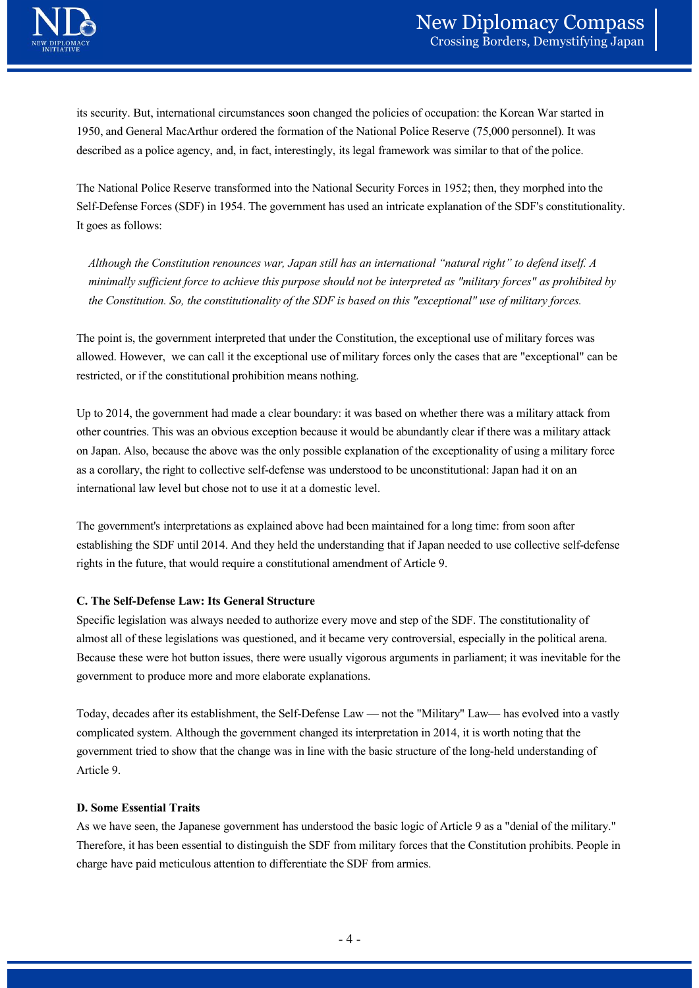

New Diplomacy Compass<br>
Crossing Borders, Demystifying Japan<br>
its security. But, international circumstances soon changed the policies of occupation: the Korean War started in<br>
1950, and General MacArthur ordered the format 1950, and General MacArthur ordered the formation of the National Police Reserve (75,000 personnel). It was

New Diplomacy Compass<br>
Crossing Borders, Demystifying Japan<br>
its security. But, international circumstances soon changed the policies of occupation: the Korean War started in<br>
1950, and General MacArthur ordered the format The National Police Reserve transformed into the National Security Forces in 1952; then, they morphed into the Self-Defense Forces (SDF) in 1954. The government has used an intricate explanation of the SDF's constitutionality. It goes as follows:

Although the Constitution renounces war, Japan still has an international "natural right" to defend itself. A minimally sufficient force to achieve this purpose should not be interpreted as "military forces" as prohibited by the Constitution. So, the constitutionality of the SDF is based on this "exceptional" use of military forces.

The point is, the government interpreted that under the Constitution, the exceptional use of military forces was allowed. However, we can call it the exceptional use of military forces only the cases that are "exceptional" can be restricted, or if the constitutional prohibition means nothing.

Up to 2014, the government had made a clear boundary: it was based on whether there was a military attack from other countries. This was an obvious exception because it would be abundantly clear if there was a military attack on Japan. Also, because the above was the only possible explanation of the exceptionality of using a military force as a corollary, the right to collective self-defense was understood to be unconstitutional: Japan had it on an international law level but chose not to use it at a domestic level. The point is, the government interpreted that under the Constitution, the exceptional use of military forces was<br>allowed. However, we can call it the exceptional use of military forces only the cases that are "exceptional Up to 2014, the government had made a clear boundary: it was based on whether there was a military attack from<br>onlone countries. This was an obvious exception because it would be abundantly clear if there was a military a

The government's interpretations as explained above had been maintained for a long time: from soon after establishing the SDF until 2014. And they held the understanding that if Japan needed to use collective self-defense rights in the future, that would require a constitutional amendment of Article 9.

#### C. The Self-Defense Law: Its General Structure

Specific legislation was always needed to authorize every move and step of the SDF. The constitutionality of Because these were hot button issues, there were usually vigorous arguments in parliament; it was inevitable for the government to produce more and more elaborate explanations.

complicated system. Although the government changed its interpretation in 2014, it is worth noting that the government tried to show that the change was in line with the basic structure of the long-held understanding of Article 9. came very controversial, especially in the political arena.<br>vigorous arguments in parliament; it was inevitable for the attions.<br>Law — not the "Military" Law— has evolved into a vastly<br>its interpretation in 2014, it is wor

#### D. Some Essential Traits

As we have seen, the Japanese government has understood the basic logic of Article 9 as a "denial of the military." Therefore, it has been essential to distinguish the SDF from military forces that the Constitution prohibits. People in charge have paid meticulous attention to differentiate the SDF from armies.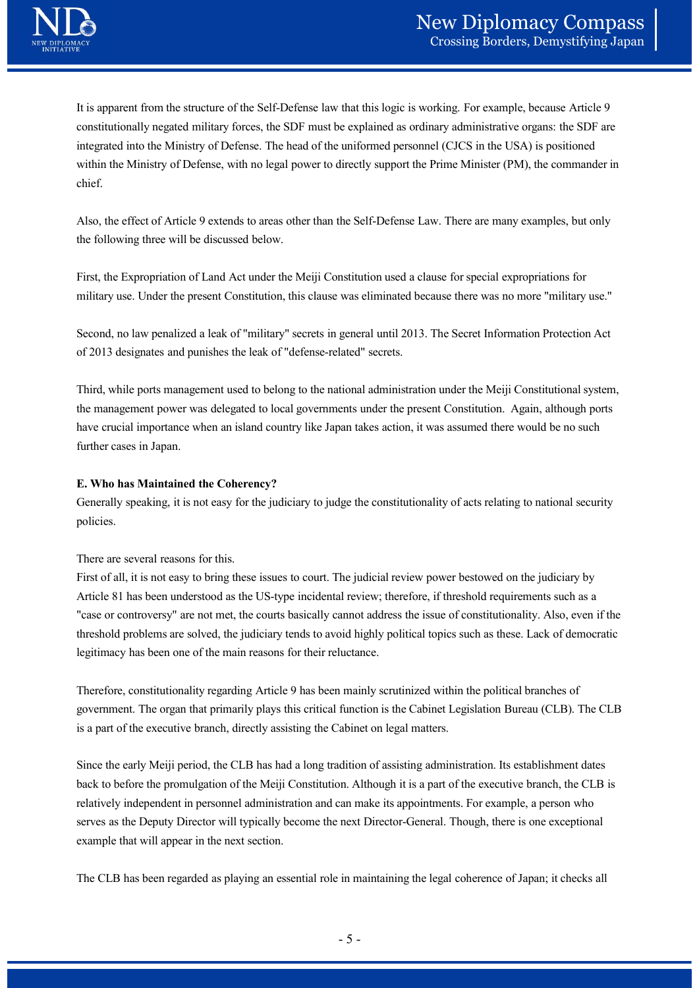It is apparent from the structure of the Self-Defense law that this logic is working. For example, because Article 9 constitutionally negated military forces, the SDF must be explained as ordinary administrative organs: the SDF are integrated into the Ministry of Defense. The head of the uniformed personnel (CJCS in the USA) is positioned within the Ministry of Defense, with no legal power to directly support the Prime Minister (PM), the commander in chief.

Also, the effect of Article 9 extends to areas other than the Self-Defense Law. There are many examples, but only the following three will be discussed below.

First, the Expropriation of Land Act under the Meiji Constitution used a clause for special expropriations for military use. Under the present Constitution, this clause was eliminated because there was no more "military use."

Second, no law penalized a leak of "military" secrets in general until 2013. The Secret Information Protection Act of 2013 designates and punishes the leak of "defense-related" secrets.

Third, while ports management used to belong to the national administration under the Meiji Constitutional system, the management power was delegated to local governments under the present Constitution. Again, although ports have crucial importance when an island country like Japan takes action, it was assumed there would be no such further cases in Japan.

#### E. Who has Maintained the Coherency?

Generally speaking, it is not easy for the judiciary to judge the constitutionality of acts relating to national security policies.

#### There are several reasons for this.

First of all, it is not easy to bring these issues to court. The judicial review power bestowed on the judiciary by Article 81 has been understood as the US-type incidental review; therefore, if threshold requirements such as a "case or controversy" are not met, the courts basically cannot address the issue of constitutionality. Also, even if the threshold problems are solved, the judiciary tends to avoid highly political topics such as these. Lack of democratic legitimacy has been one of the main reasons for their reluctance.

Therefore, constitutionality regarding Article 9 has been mainly scrutinized within the political branches of government. The organ that primarily plays this critical function is the Cabinet Legislation Bureau (CLB). The CLB is a part of the executive branch, directly assisting the Cabinet on legal matters.

Since the early Meiji period, the CLB has had a long tradition of assisting administration. Its establishment dates back to before the promulgation of the Meiji Constitution. Although it is a part of the executive branch, the CLB is relatively independent in personnel administration and can make its appointments. For example, a person who serves as the Deputy Director will typically become the next Director-General. Though, there is one exceptional example that will appear in the next section. of unginy pointed topics such as these. Lack of definition that<br>
unctance.<br>
In mainly scrutinized within the political branches of<br>
function is the Cabinet Legislation Bureau (CLB). The CLB<br>
abinet on legal matters.<br>
ditio

The CLB has been regarded as playing an essential role in maintaining the legal coherence of Japan; it checks all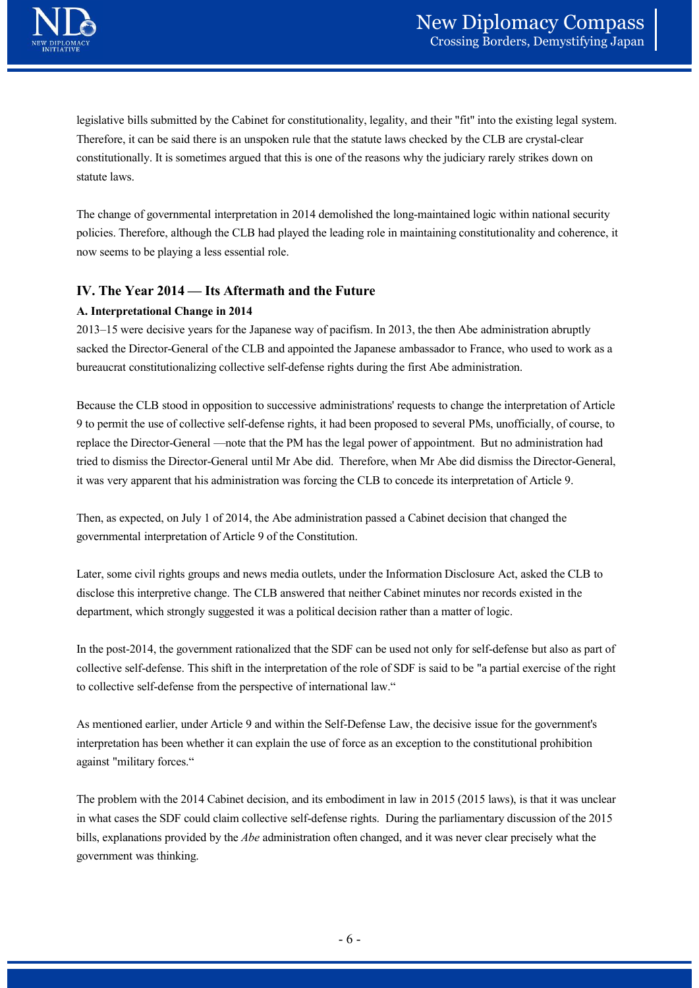legislative bills submitted by the Cabinet for constitutionality, legality, and their "fit" into the existing legal system. Therefore, it can be said there is an unspoken rule that the statute laws checked by the CLB are crystal-clear constitutionally. It is sometimes argued that this is one of the reasons why the judiciary rarely strikes down on statute laws. **IV. The Manuscript School Community** Corressing Borders, Demystify<br>
Iegislative bills submitted by the Cabinet for constitutionality, legality, and their "fit" into the existing legal st<br>
Therefore, it can be said there i

The change of governmental interpretation in 2014 demolished the long-maintained logic within national security policies. Therefore, although the CLB had played the leading role in maintaining constitutionality and coherence, it now seems to be playing a less essential role.

#### A. Interpretational Change in 2014

2013–15 were decisive years for the Japanese way of pacifism. In 2013, the then Abe administration abruptly sacked the Director-General of the CLB and appointed the Japanese ambassador to France, who used to work as a bureaucrat constitutionalizing collective self-defense rights during the first Abe administration.

Because the CLB stood in opposition to successive administrations' requests to change the interpretation of Article 9 to permit the use of collective self-defense rights, it had been proposed to several PMs, unofficially, of course, to replace the Director-General —note that the PM has the legal power of appointment. But no administration had constitutionality. It is sometimes argued that this is one of the reasons why the judiciary rarely strikes down on<br>that late laws.<br>The change of governmental interpretation in 2014 demolished the long-maintained logic with it was very apparent that his administration was forcing the CLB to concede its interpretation of Article 9.

Then, as expected, on July 1 of 2014, the Abe administration passed a Cabinet decision that changed the governmental interpretation of Article 9 of the Constitution.

Later, some civil rights groups and news media outlets, under the Information Disclosure Act, asked the CLB to disclose this interpretive change. The CLB answered that neither Cabinet minutes nor records existed in the department, which strongly suggested it was a political decision rather than a matter of logic.

In the post-2014, the government rationalized that the SDF can be used not only for self-defense but also as part of collective self-defense. This shift in the interpretation of the role of SDF is said to be "a partial exercise of the right to collective self-defense from the perspective of international law."

As mentioned earlier, under Article 9 and within the Self-Defense Law, the decisive issue for the government's interpretation has been whether it can explain the use of force as an exception to the constitutional prohibition against "military forces."

The problem with the 2014 Cabinet decision, and its embodiment in law in 2015 (2015 laws), is that it was unclear in what cases the SDF could claim collective self-defense rights. During the parliamentary discussion of the 2015 bills, explanations provided by the Abe administration often changed, and it was never clear precisely what the government was thinking. DF can be used not only for self-defense but also as part of<br>the role of SDF is said to be "a partial exercise of the right<br>dional law."<br>If-Defense Law, the decisive issue for the government's<br>force as an exception to the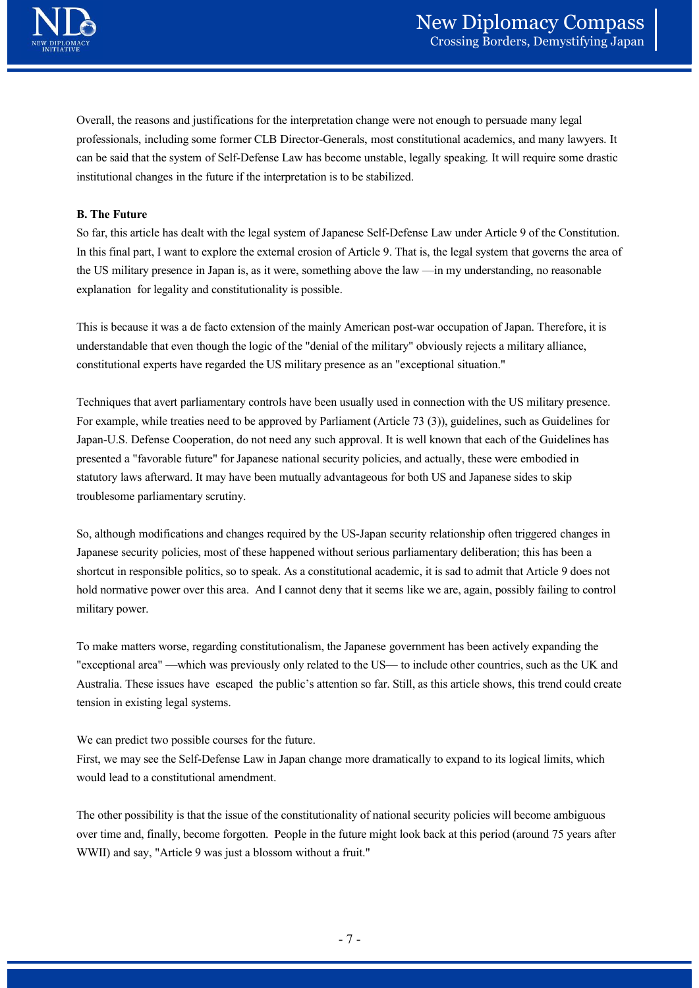

Overall, the reasons and justifications for the interpretation change were not enough to persuade many legal professionals, including some former CLB Director-Generals, most constitutional academics, and many lawyers. It can be said that the system of Self-Defense Law has become unstable, legally speaking. It will require some drastic institutional changes in the future if the interpretation is to be stabilized.

#### B. The Future

So far, this article has dealt with the legal system of Japanese Self-Defense Law under Article 9 of the Constitution. In this final part, I want to explore the external erosion of Article 9. That is, the legal system that governs the area of the US military presence in Japan is, as it were, something above the law —in my understanding, no reasonable explanation for legality and constitutionality is possible.

This is because it was a de facto extension of the mainly American post-war occupation of Japan. Therefore, it is understandable that even though the logic of the "denial of the military" obviously rejects a military alliance, constitutional experts have regarded the US military presence as an "exceptional situation."

Techniques that avert parliamentary controls have been usually used in connection with the US military presence. For example, while treaties need to be approved by Parliament (Article 73 (3)), guidelines, such as Guidelines for Japan-U.S. Defense Cooperation, do not need any such approval. It is well known that each of the Guidelines has ean be said that the system of Self-Defense Law has become unstable, legally speaking. It will require some drastic<br>institutional changes in the future if the interpretation is to be stabilized.<br> **B.** The Future<br>
So fix, t statutory laws afterward. It may have been mutually advantageous for both US and Japanese sides to skip troublesome parliamentary scrutiny. constitutional experts have regarded the US military presence as an "exceptional situation."<br>
Techniques that avert parliamentary controls have been usually used in connection with the US military presence.<br>
For example, w

So, although modifications and changes required by the US-Japan security relationship often triggered changes in Japanese security policies, most of these happened without serious parliamentary deliberation; this has been a shortcut in responsible politics, so to speak. As a constitutional academic, it is sad to admit that Article 9 does not hold normative power over this area. And I cannot deny that it seems like we are, again, possibly failing to control military power.

To make matters worse, regarding constitutionalism, the Japanese government has been actively expanding the Australia. These issues have escaped the public's attention so far. Still, as this article shows, this trend could create tension in existing legal systems. Example 1 approaches a solution and the US—to include other countries, such as the UK and<br>tion so far. Still, as this article shows, this trend could create<br>the more dramatically to expand to its logical limits, which<br>alit

We can predict two possible courses for the future.

First, we may see the Self-Defense Law in Japan change more dramatically to expand to its logical limits, which would lead to a constitutional amendment.

The other possibility is that the issue of the constitutionality of national security policies will become ambiguous over time and, finally, become forgotten. People in the future might look back at this period (around 75 years after WWII) and say, "Article 9 was just a blossom without a fruit."